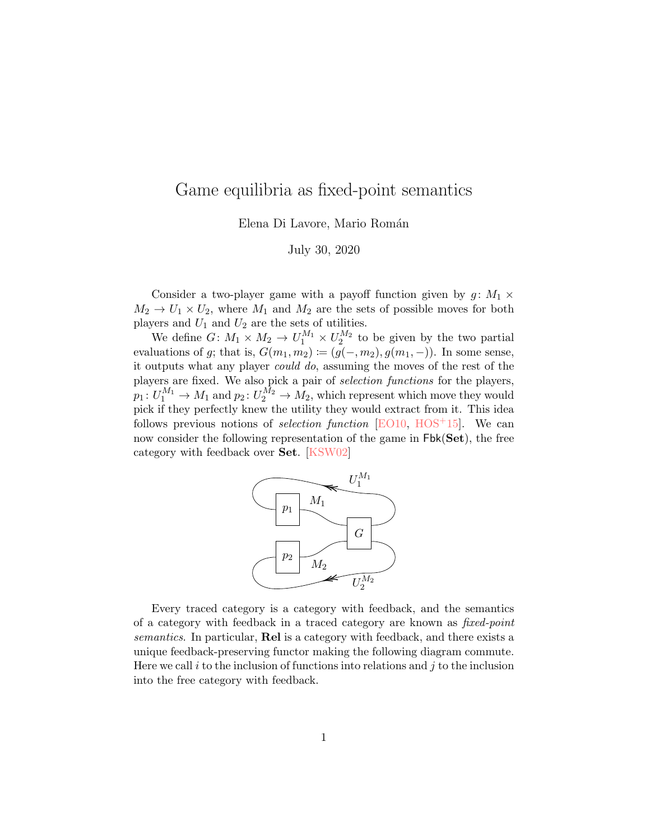## Game equilibria as fixed-point semantics

Elena Di Lavore, Mario Román

July 30, 2020

Consider a two-player game with a payoff function given by  $g: M_1 \times$  $M_2 \rightarrow U_1 \times U_2$ , where  $M_1$  and  $M_2$  are the sets of possible moves for both players and  $U_1$  and  $U_2$  are the sets of utilities.

We define  $G: M_1 \times M_2 \to U_1^{M_1} \times U_2^{M_2}$  to be given by the two partial evaluations of g; that is,  $G(m_1, m_2) \coloneqq (g(-, m_2), g(m_1, -))$ . In some sense, it outputs what any player could do, assuming the moves of the rest of the players are fixed. We also pick a pair of selection functions for the players,  $p_1\colon U_1^{M_1}\to M_1$  and  $p_2\colon U_2^{M_2}\to M_2,$  which represent which move they would pick if they perfectly knew the utility they would extract from it. This idea follows previous notions of *selection function* [\[EO10,](#page-1-0) [HOS](#page-1-1)<sup>+15]</sup>. We can now consider the following representation of the game in  $Fbk(Set)$ , the free category with feedback over Set. [\[KSW02\]](#page-1-2)



Every traced category is a category with feedback, and the semantics of a category with feedback in a traced category are known as fixed-point semantics. In particular, **Rel** is a category with feedback, and there exists a unique feedback-preserving functor making the following diagram commute. Here we call i to the inclusion of functions into relations and j to the inclusion into the free category with feedback.